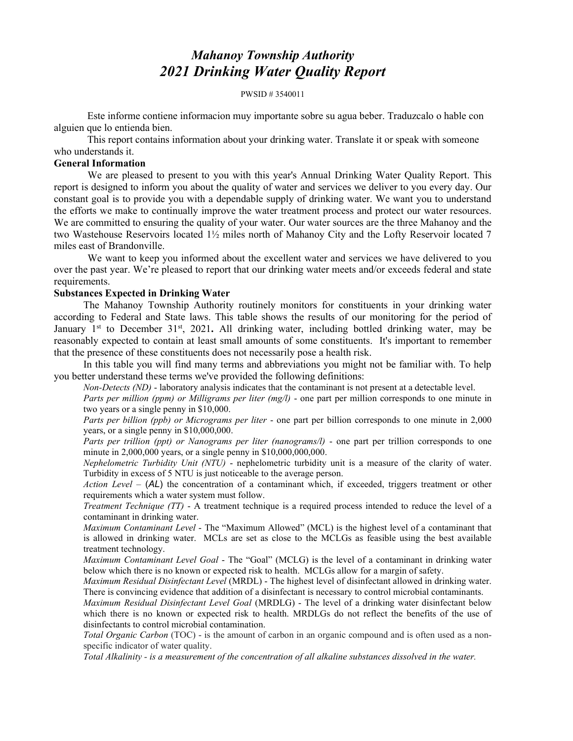# Mahanoy Township Authority 2021 Drinking Water Quality Report

PWSID # 3540011

 Este informe contiene informacion muy importante sobre su agua beber. Traduzcalo o hable con alguien que lo entienda bien.

 This report contains information about your drinking water. Translate it or speak with someone who understands it.

### General Information

We are pleased to present to you with this year's Annual Drinking Water Quality Report. This report is designed to inform you about the quality of water and services we deliver to you every day. Our constant goal is to provide you with a dependable supply of drinking water. We want you to understand the efforts we make to continually improve the water treatment process and protect our water resources. We are committed to ensuring the quality of your water. Our water sources are the three Mahanoy and the two Wastehouse Reservoirs located 1½ miles north of Mahanoy City and the Lofty Reservoir located 7 miles east of Brandonville.

 We want to keep you informed about the excellent water and services we have delivered to you over the past year. We're pleased to report that our drinking water meets and/or exceeds federal and state requirements.

#### Substances Expected in Drinking Water

 The Mahanoy Township Authority routinely monitors for constituents in your drinking water according to Federal and State laws. This table shows the results of our monitoring for the period of January 1<sup>st</sup> to December 31<sup>st</sup>, 2021. All drinking water, including bottled drinking water, may be reasonably expected to contain at least small amounts of some constituents. It's important to remember that the presence of these constituents does not necessarily pose a health risk.

 In this table you will find many terms and abbreviations you might not be familiar with. To help you better understand these terms we've provided the following definitions:

Non-Detects (ND) - laboratory analysis indicates that the contaminant is not present at a detectable level.

Parts per million (ppm) or Milligrams per liter (mg/l) - one part per million corresponds to one minute in two years or a single penny in \$10,000.

Parts per billion (ppb) or Micrograms per liter - one part per billion corresponds to one minute in 2,000 years, or a single penny in \$10,000,000.

Parts per trillion (ppt) or Nanograms per liter (nanograms/l) - one part per trillion corresponds to one minute in  $2,000,000$  years, or a single penny in  $$10,000,000,000$ .

Nephelometric Turbidity Unit (NTU) - nephelometric turbidity unit is a measure of the clarity of water. Turbidity in excess of 5 NTU is just noticeable to the average person.

Action Level –  $(AL)$  the concentration of a contaminant which, if exceeded, triggers treatment or other requirements which a water system must follow.

Treatment Technique (TT) - A treatment technique is a required process intended to reduce the level of a contaminant in drinking water.

Maximum Contaminant Level - The "Maximum Allowed" (MCL) is the highest level of a contaminant that is allowed in drinking water. MCLs are set as close to the MCLGs as feasible using the best available treatment technology.

Maximum Contaminant Level Goal - The "Goal" (MCLG) is the level of a contaminant in drinking water below which there is no known or expected risk to health. MCLGs allow for a margin of safety.

Maximum Residual Disinfectant Level (MRDL) - The highest level of disinfectant allowed in drinking water. There is convincing evidence that addition of a disinfectant is necessary to control microbial contaminants.

Maximum Residual Disinfectant Level Goal (MRDLG) - The level of a drinking water disinfectant below which there is no known or expected risk to health. MRDLGs do not reflect the benefits of the use of disinfectants to control microbial contamination.

Total Organic Carbon (TOC) - is the amount of carbon in an organic compound and is often used as a nonspecific indicator of water quality.

Total Alkalinity - is a measurement of the concentration of all alkaline substances dissolved in the water.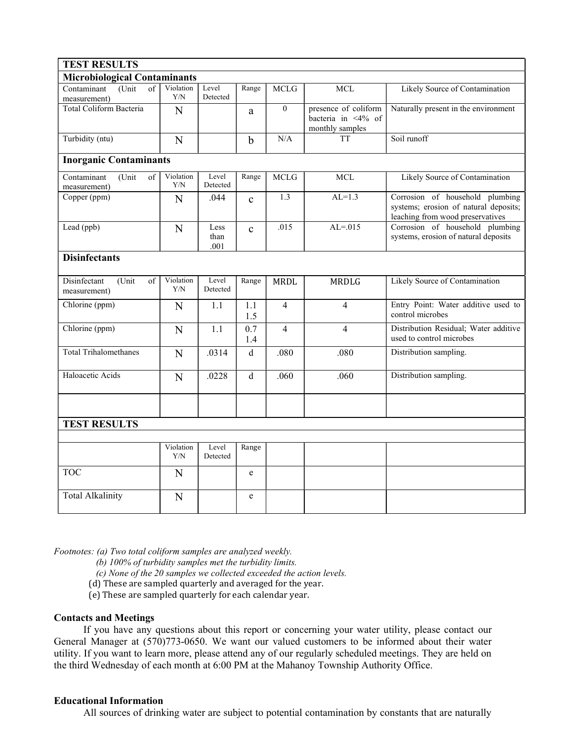| <b>TEST RESULTS</b>                                 |                  |                      |              |                |                                                                      |                                                                                                              |
|-----------------------------------------------------|------------------|----------------------|--------------|----------------|----------------------------------------------------------------------|--------------------------------------------------------------------------------------------------------------|
| <b>Microbiological Contaminants</b>                 |                  |                      |              |                |                                                                      |                                                                                                              |
| (Unit)<br>Contaminant<br>$\sigma$ f<br>measurement) | Violation<br>Y/N | Level<br>Detected    | Range        | <b>MCLG</b>    | <b>MCL</b>                                                           | Likely Source of Contamination                                                                               |
| Total Coliform Bacteria                             | N                |                      | a            | $\theta$       | presence of coliform<br>bacteria in $\leq 4\%$ of<br>monthly samples | Naturally present in the environment                                                                         |
| Turbidity (ntu)                                     | N                |                      | $\mathbf b$  | N/A            | <b>TT</b>                                                            | Soil runoff                                                                                                  |
| <b>Inorganic Contaminants</b>                       |                  |                      |              |                |                                                                      |                                                                                                              |
| (Unit)<br>Contaminant<br>of<br>measurement)         | Violation<br>Y/N | Level<br>Detected    | Range        | <b>MCLG</b>    | <b>MCL</b>                                                           | Likely Source of Contamination                                                                               |
| Copper (ppm)                                        | N                | .044                 | $\mathbf{c}$ | 1.3            | $AL=1.3$                                                             | Corrosion of household plumbing<br>systems; erosion of natural deposits;<br>leaching from wood preservatives |
| Lead (ppb)                                          | N                | Less<br>than<br>.001 | $\mathbf{c}$ | .015           | $AL = .015$                                                          | Corrosion of household plumbing<br>systems, erosion of natural deposits                                      |
| <b>Disinfectants</b>                                |                  |                      |              |                |                                                                      |                                                                                                              |
| Disinfectant<br>(Unit<br>$\sigma$ f<br>measurement) | Violation<br>Y/N | Level<br>Detected    | Range        | <b>MRDL</b>    | <b>MRDLG</b>                                                         | Likely Source of Contamination                                                                               |
| Chlorine (ppm)                                      | N                | 1.1                  | 1.1<br>1.5   | $\overline{4}$ | 4                                                                    | Entry Point: Water additive used to<br>control microbes                                                      |
| Chlorine (ppm)                                      | N                | 1.1                  | 0.7<br>1.4   | $\overline{4}$ | 4                                                                    | Distribution Residual; Water additive<br>used to control microbes                                            |
| <b>Total Trihalomethanes</b>                        | N                | .0314                | d            | .080           | .080                                                                 | Distribution sampling.                                                                                       |
| Haloacetic Acids                                    | N                | .0228                | $\mathbf d$  | .060           | .060                                                                 | Distribution sampling.                                                                                       |
|                                                     |                  |                      |              |                |                                                                      |                                                                                                              |
| <b>TEST RESULTS</b>                                 |                  |                      |              |                |                                                                      |                                                                                                              |
|                                                     | Violation<br>Y/N | Level<br>Detected    | Range        |                |                                                                      |                                                                                                              |
| <b>TOC</b>                                          | N                |                      | e            |                |                                                                      |                                                                                                              |
| <b>Total Alkalinity</b>                             | N                |                      | e            |                |                                                                      |                                                                                                              |

Footnotes: (a) Two total coliform samples are analyzed weekly.

- (b) 100% of turbidity samples met the turbidity limits.
- (c) None of the 20 samples we collected exceeded the action levels.
- (d) These are sampled quarterly and averaged for the year.
- (e) These are sampled quarterly for each calendar year.

# Contacts and Meetings

 If you have any questions about this report or concerning your water utility, please contact our General Manager at (570)773-0650. We want our valued customers to be informed about their water utility. If you want to learn more, please attend any of our regularly scheduled meetings. They are held on the third Wednesday of each month at 6:00 PM at the Mahanoy Township Authority Office.

# Educational Information

All sources of drinking water are subject to potential contamination by constants that are naturally